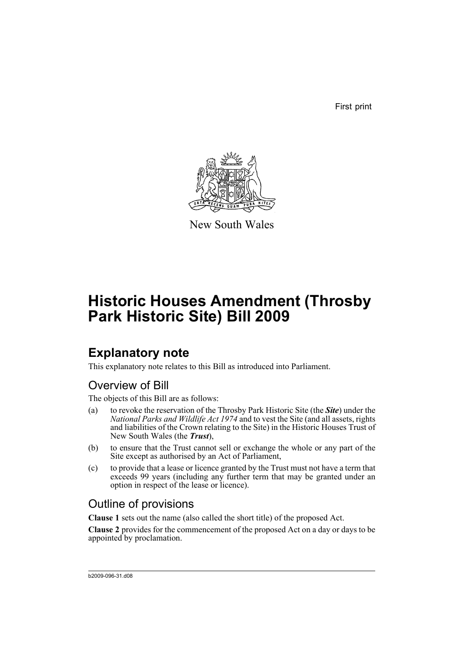First print



New South Wales

# **Historic Houses Amendment (Throsby Park Historic Site) Bill 2009**

## **Explanatory note**

This explanatory note relates to this Bill as introduced into Parliament.

### Overview of Bill

The objects of this Bill are as follows:

- (a) to revoke the reservation of the Throsby Park Historic Site (the *Site*) under the *National Parks and Wildlife Act 1974* and to vest the Site (and all assets, rights and liabilities of the Crown relating to the Site) in the Historic Houses Trust of New South Wales (the *Trust*),
- (b) to ensure that the Trust cannot sell or exchange the whole or any part of the Site except as authorised by an Act of Parliament,
- (c) to provide that a lease or licence granted by the Trust must not have a term that exceeds 99 years (including any further term that may be granted under an option in respect of the lease or licence).

### Outline of provisions

**Clause 1** sets out the name (also called the short title) of the proposed Act.

**Clause 2** provides for the commencement of the proposed Act on a day or days to be appointed by proclamation.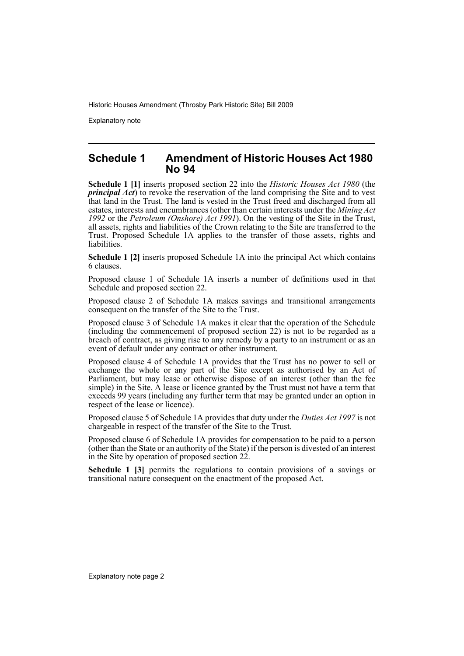Explanatory note

#### **Schedule 1 Amendment of Historic Houses Act 1980 No 94**

**Schedule 1 [1]** inserts proposed section 22 into the *Historic Houses Act 1980* (the *principal Act*) to revoke the reservation of the land comprising the Site and to vest that land in the Trust. The land is vested in the Trust freed and discharged from all estates, interests and encumbrances (other than certain interests under the *Mining Act 1992* or the *Petroleum (Onshore) Act 1991*). On the vesting of the Site in the Trust, all assets, rights and liabilities of the Crown relating to the Site are transferred to the Trust. Proposed Schedule 1A applies to the transfer of those assets, rights and liabilities.

**Schedule 1 [2]** inserts proposed Schedule 1A into the principal Act which contains 6 clauses.

Proposed clause 1 of Schedule 1A inserts a number of definitions used in that Schedule and proposed section 22.

Proposed clause 2 of Schedule 1A makes savings and transitional arrangements consequent on the transfer of the Site to the Trust.

Proposed clause 3 of Schedule 1A makes it clear that the operation of the Schedule (including the commencement of proposed section 22) is not to be regarded as a breach of contract, as giving rise to any remedy by a party to an instrument or as an event of default under any contract or other instrument.

Proposed clause 4 of Schedule 1A provides that the Trust has no power to sell or exchange the whole or any part of the Site except as authorised by an Act of Parliament, but may lease or otherwise dispose of an interest (other than the fee simple) in the Site. A lease or licence granted by the Trust must not have a term that exceeds 99 years (including any further term that may be granted under an option in respect of the lease or licence).

Proposed clause 5 of Schedule 1A provides that duty under the *Duties Act 1997* is not chargeable in respect of the transfer of the Site to the Trust.

Proposed clause 6 of Schedule 1A provides for compensation to be paid to a person (other than the State or an authority of the State) if the person is divested of an interest in the Site by operation of proposed section 22.

**Schedule 1 [3]** permits the regulations to contain provisions of a savings or transitional nature consequent on the enactment of the proposed Act.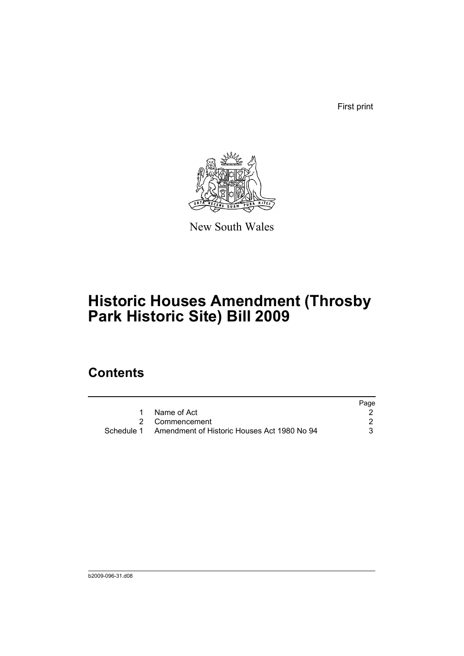First print



New South Wales

## **Historic Houses Amendment (Throsby Park Historic Site) Bill 2009**

## **Contents**

|                                                        | Page |
|--------------------------------------------------------|------|
| 1 Name of Act                                          |      |
| 2 Commencement                                         |      |
| Schedule 1 Amendment of Historic Houses Act 1980 No 94 |      |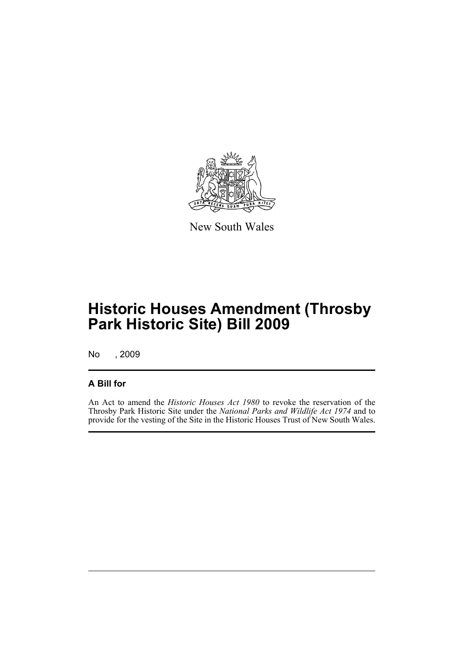

New South Wales

## **Historic Houses Amendment (Throsby Park Historic Site) Bill 2009**

No , 2009

#### **A Bill for**

An Act to amend the *Historic Houses Act 1980* to revoke the reservation of the Throsby Park Historic Site under the *National Parks and Wildlife Act 1974* and to provide for the vesting of the Site in the Historic Houses Trust of New South Wales.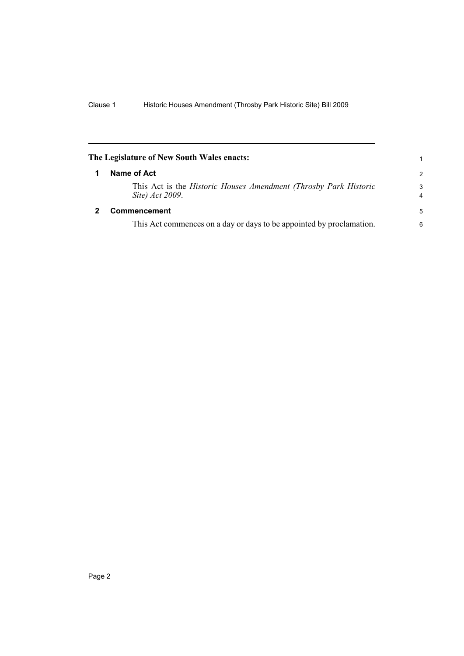<span id="page-5-1"></span><span id="page-5-0"></span>

|   | The Legislature of New South Wales enacts:                                                   | 1                            |
|---|----------------------------------------------------------------------------------------------|------------------------------|
| 1 | Name of Act                                                                                  | $\mathcal{P}$                |
|   | This Act is the <i>Historic Houses Amendment (Throsby Park Historic</i> )<br>Site) Act 2009. | 3<br>$\overline{\mathbf{4}}$ |
|   | <b>Commencement</b>                                                                          | 5                            |
|   | This Act commences on a day or days to be appointed by proclamation.                         | 6                            |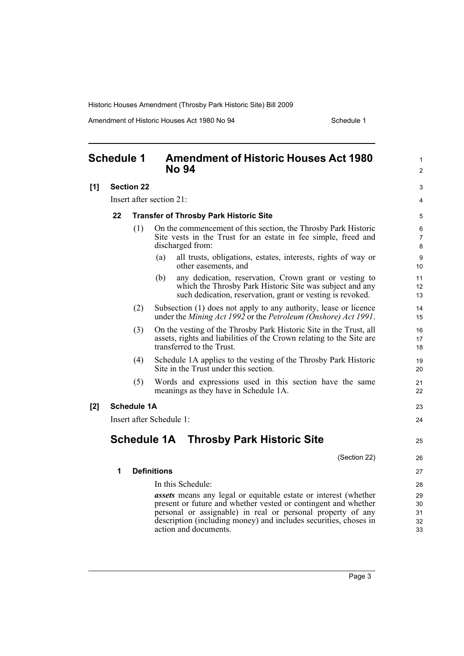Amendment of Historic Houses Act 1980 No 94 Schedule 1

<span id="page-6-0"></span>

| <b>Schedule 1</b> |                                                     |                    | <b>Amendment of Historic Houses Act 1980</b><br><b>No 94</b>                                                                                                                            | $\mathbf{1}$<br>2 |  |
|-------------------|-----------------------------------------------------|--------------------|-----------------------------------------------------------------------------------------------------------------------------------------------------------------------------------------|-------------------|--|
| [1]               |                                                     | <b>Section 22</b>  |                                                                                                                                                                                         | 3                 |  |
|                   | Insert after section 21:                            |                    |                                                                                                                                                                                         |                   |  |
|                   | 22<br><b>Transfer of Throsby Park Historic Site</b> |                    |                                                                                                                                                                                         |                   |  |
|                   |                                                     | (1)                | On the commencement of this section, the Throsby Park Historic<br>Site vests in the Trust for an estate in fee simple, freed and<br>discharged from:                                    | 6<br>7<br>8       |  |
|                   |                                                     |                    | (a)<br>all trusts, obligations, estates, interests, rights of way or<br>other easements, and                                                                                            | 9<br>10           |  |
|                   |                                                     |                    | any dedication, reservation, Crown grant or vesting to<br>(b)<br>which the Throsby Park Historic Site was subject and any<br>such dedication, reservation, grant or vesting is revoked. | 11<br>12<br>13    |  |
|                   |                                                     | (2)                | Subsection (1) does not apply to any authority, lease or licence<br>under the Mining Act 1992 or the Petroleum (Onshore) Act 1991.                                                      | 14<br>15          |  |
|                   |                                                     | (3)                | On the vesting of the Throsby Park Historic Site in the Trust, all<br>assets, rights and liabilities of the Crown relating to the Site are<br>transferred to the Trust.                 | 16<br>17<br>18    |  |
|                   |                                                     | (4)                | Schedule 1A applies to the vesting of the Throsby Park Historic<br>Site in the Trust under this section.                                                                                | 19<br>20          |  |
|                   |                                                     | (5)                | Words and expressions used in this section have the same<br>meanings as they have in Schedule 1A.                                                                                       | 21<br>22          |  |
| [2]               |                                                     | <b>Schedule 1A</b> |                                                                                                                                                                                         | 23                |  |
|                   | Insert after Schedule 1:                            |                    |                                                                                                                                                                                         | 24                |  |
|                   |                                                     |                    | <b>Schedule 1A Throsby Park Historic Site</b>                                                                                                                                           | 25                |  |
|                   |                                                     |                    | (Section 22)                                                                                                                                                                            | 26                |  |
|                   | 1<br><b>Definitions</b>                             |                    |                                                                                                                                                                                         |                   |  |
|                   |                                                     |                    | In this Schedule:                                                                                                                                                                       | 28                |  |
|                   |                                                     |                    | <i>assets</i> means any legal or equitable estate or interest (whether                                                                                                                  | 29                |  |
|                   |                                                     |                    | present or future and whether vested or contingent and whether                                                                                                                          | 30                |  |
|                   |                                                     |                    | personal or assignable) in real or personal property of any<br>description (including money) and includes securities, choses in                                                         | 31<br>32          |  |
|                   |                                                     |                    | action and documents.                                                                                                                                                                   | 33                |  |
|                   |                                                     |                    |                                                                                                                                                                                         |                   |  |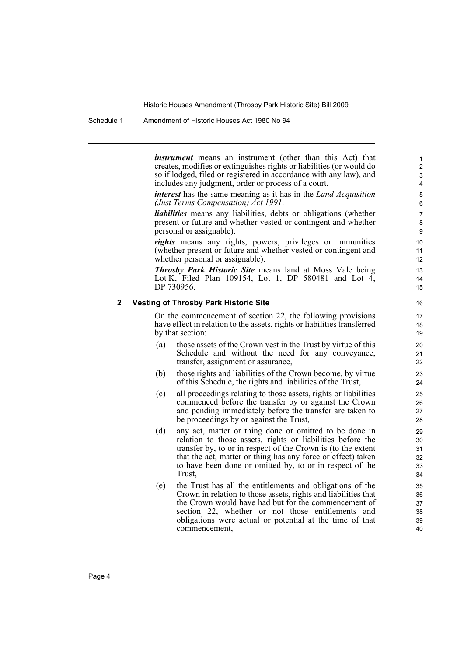Schedule 1 Amendment of Historic Houses Act 1980 No 94

*instrument* means an instrument (other than this Act) that creates, modifies or extinguishes rights or liabilities (or would do so if lodged, filed or registered in accordance with any law), and includes any judgment, order or process of a court.

*interest* has the same meaning as it has in the *Land Acquisition (Just Terms Compensation) Act 1991*.

*liabilities* means any liabilities, debts or obligations (whether present or future and whether vested or contingent and whether personal or assignable).

*rights* means any rights, powers, privileges or immunities (whether present or future and whether vested or contingent and whether personal or assignable).

*Throsby Park Historic Site* means land at Moss Vale being Lot K, Filed Plan 109154, Lot 1, DP 580481 and Lot  $\overline{4}$ , DP 730956.

#### **2 Vesting of Throsby Park Historic Site**

On the commencement of section 22, the following provisions have effect in relation to the assets, rights or liabilities transferred by that section:

- (a) those assets of the Crown vest in the Trust by virtue of this Schedule and without the need for any conveyance, transfer, assignment or assurance,
- (b) those rights and liabilities of the Crown become, by virtue of this Schedule, the rights and liabilities of the Trust,
- (c) all proceedings relating to those assets, rights or liabilities commenced before the transfer by or against the Crown and pending immediately before the transfer are taken to be proceedings by or against the Trust,
- (d) any act, matter or thing done or omitted to be done in relation to those assets, rights or liabilities before the transfer by, to or in respect of the Crown is (to the extent that the act, matter or thing has any force or effect) taken to have been done or omitted by, to or in respect of the Trust,
- (e) the Trust has all the entitlements and obligations of the Crown in relation to those assets, rights and liabilities that the Crown would have had but for the commencement of section 22, whether or not those entitlements and obligations were actual or potential at the time of that commencement,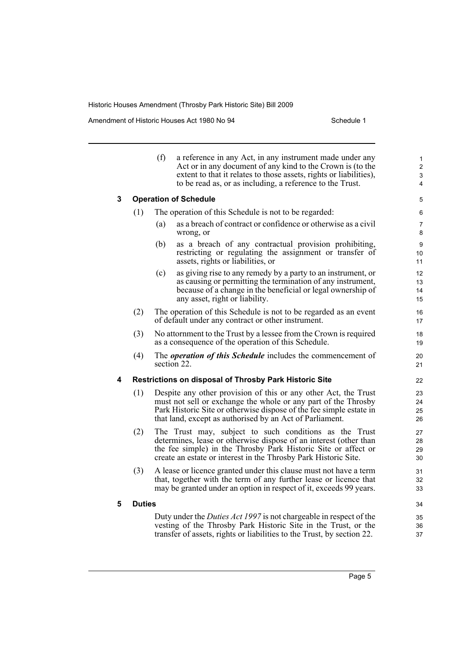Amendment of Historic Houses Act 1980 No 94 Schedule 1

|   |                                                              | (f)                                                                               | a reference in any Act, in any instrument made under any<br>Act or in any document of any kind to the Crown is (to the<br>extent to that it relates to those assets, rights or liabilities),<br>to be read as, or as including, a reference to the Trust.            | $\mathbf{1}$<br>2<br>3<br>4 |
|---|--------------------------------------------------------------|-----------------------------------------------------------------------------------|----------------------------------------------------------------------------------------------------------------------------------------------------------------------------------------------------------------------------------------------------------------------|-----------------------------|
| 3 |                                                              |                                                                                   | <b>Operation of Schedule</b>                                                                                                                                                                                                                                         | 5                           |
|   | The operation of this Schedule is not to be regarded:<br>(1) |                                                                                   |                                                                                                                                                                                                                                                                      | 6                           |
|   |                                                              | (a)                                                                               | as a breach of contract or confidence or otherwise as a civil<br>wrong, or                                                                                                                                                                                           | 7<br>8                      |
|   |                                                              | (b)                                                                               | as a breach of any contractual provision prohibiting,<br>restricting or regulating the assignment or transfer of<br>assets, rights or liabilities, or                                                                                                                | 9<br>10<br>11               |
|   |                                                              | (c)                                                                               | as giving rise to any remedy by a party to an instrument, or<br>as causing or permitting the termination of any instrument,<br>because of a change in the beneficial or legal ownership of<br>any asset, right or liability.                                         | 12<br>13<br>14<br>15        |
|   | (2)                                                          |                                                                                   | The operation of this Schedule is not to be regarded as an event<br>of default under any contract or other instrument.                                                                                                                                               | 16<br>17                    |
|   | (3)                                                          |                                                                                   | No attornment to the Trust by a lessee from the Crown is required<br>as a consequence of the operation of this Schedule.                                                                                                                                             |                             |
|   | (4)                                                          | The <i>operation of this Schedule</i> includes the commencement of<br>section 22. |                                                                                                                                                                                                                                                                      | 20<br>21                    |
| 4 |                                                              |                                                                                   | <b>Restrictions on disposal of Throsby Park Historic Site</b>                                                                                                                                                                                                        | 22                          |
|   | (1)                                                          |                                                                                   | Despite any other provision of this or any other Act, the Trust<br>must not sell or exchange the whole or any part of the Throsby<br>Park Historic Site or otherwise dispose of the fee simple estate in<br>that land, except as authorised by an Act of Parliament. | 23<br>24<br>25<br>26        |
|   | (2)                                                          |                                                                                   | The Trust may, subject to such conditions as the Trust<br>determines, lease or otherwise dispose of an interest (other than<br>the fee simple) in the Throsby Park Historic Site or affect or<br>create an estate or interest in the Throsby Park Historic Site.     | 27<br>28<br>29<br>30        |
|   | (3)                                                          |                                                                                   | A lease or licence granted under this clause must not have a term<br>that, together with the term of any further lease or licence that<br>may be granted under an option in respect of it, exceeds 99 years.                                                         | 31<br>32<br>33              |
| 5 | <b>Duties</b>                                                |                                                                                   |                                                                                                                                                                                                                                                                      | 34                          |
|   |                                                              |                                                                                   | Duty under the <i>Duties Act 1997</i> is not chargeable in respect of the<br>vesting of the Throsby Park Historic Site in the Trust, or the<br>transfer of assets, rights or liabilities to the Trust, by section 22.                                                | 35<br>36<br>37              |